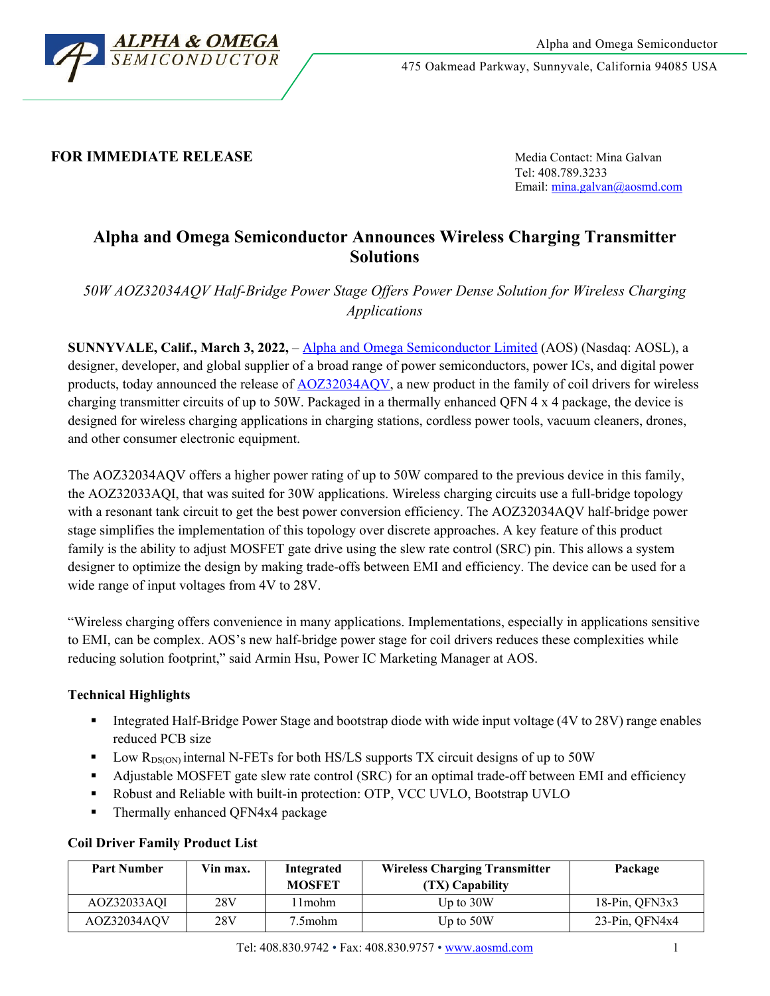

475 Oakmead Parkway, Sunnyvale, California 94085 USA

## **FOR IMMEDIATE RELEASE** Media Contact: Mina Galvan

Tel: 408.789.3233 Email: [mina.galvan@aosmd.com](mailto:mina.galvan@aosmd.com)

# **Alpha and Omega Semiconductor Announces Wireless Charging Transmitter Solutions**

*50W AOZ32034AQV Half-Bridge Power Stage Offers Power Dense Solution for Wireless Charging Applications*

**SUNNYVALE, Calif., March 3, 2022,** – [Alpha and Omega Semiconductor Limited](http://www.aosmd.com/) (AOS) (Nasdaq: AOSL), a designer, developer, and global supplier of a broad range of power semiconductors, power ICs, and digital power products, today announced the release of [AOZ32034AQV,](http://www.aosmd.com/res/data_sheets/AOZ32034AQV.pdf) a new product in the family of coil drivers for wireless charging transmitter circuits of up to 50W. Packaged in a thermally enhanced QFN 4 x 4 package, the device is designed for wireless charging applications in charging stations, cordless power tools, vacuum cleaners, drones, and other consumer electronic equipment.

The AOZ32034AQV offers a higher power rating of up to 50W compared to the previous device in this family, the AOZ32033AQI, that was suited for 30W applications. Wireless charging circuits use a full-bridge topology with a resonant tank circuit to get the best power conversion efficiency. The AOZ32034AQV half-bridge power stage simplifies the implementation of this topology over discrete approaches. A key feature of this product family is the ability to adjust MOSFET gate drive using the slew rate control (SRC) pin. This allows a system designer to optimize the design by making trade-offs between EMI and efficiency. The device can be used for a wide range of input voltages from 4V to 28V.

"Wireless charging offers convenience in many applications. Implementations, especially in applications sensitive to EMI, can be complex. AOS's new half-bridge power stage for coil drivers reduces these complexities while reducing solution footprint," said Armin Hsu, Power IC Marketing Manager at AOS.

## **Technical Highlights**

- Integrated Half-Bridge Power Stage and bootstrap diode with wide input voltage (4V to 28V) range enables reduced PCB size
- U Low  $R_{DS(ON)}$  internal N-FETs for both HS/LS supports TX circuit designs of up to 50W
- Adjustable MOSFET gate slew rate control (SRC) for an optimal trade-off between EMI and efficiency
- Robust and Reliable with built-in protection: OTP, VCC UVLO, Bootstrap UVLO
- Thermally enhanced QFN4x4 package

| <b>Part Number</b> | Vin max. | Integrated<br><b>MOSFET</b> | <b>Wireless Charging Transmitter</b><br>(TX) Capability | Package              |
|--------------------|----------|-----------------------------|---------------------------------------------------------|----------------------|
| AOZ32033AOI        | 28V      | l 1mohm                     | Up to $30W$                                             | $18-Pin, OFN3x3$     |
| AOZ32034AQV        | 28V      | 7.5mohm                     | Up to $50W$                                             | $23$ -Pin, QFN4 $x4$ |

## **Coil Driver Family Product List**